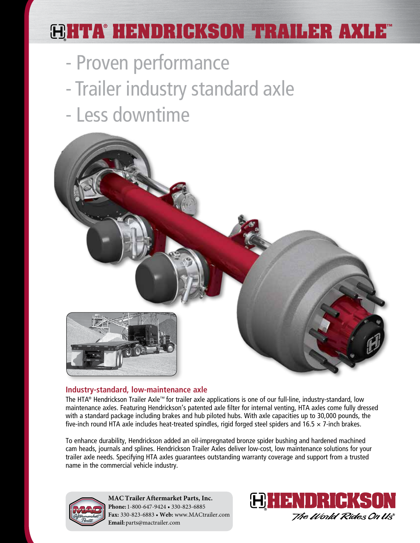# **HTA® HENDRICKSON TRAILER AXLE™**

- Proven performance
- Trailer industry standard axle
- Less downtime



# **Industry-standard, low-maintenance axle**

The HTA® Hendrickson Trailer Axle™ for trailer axle applications is one of our full-line, industry-standard, low maintenance axles. Featuring Hendrickson's patented axle filter for internal venting, HTA axles come fully dressed with a standard package including brakes and hub piloted hubs. With axle capacities up to 30,000 pounds, the five-inch round HTA axle includes heat-treated spindles, rigid forged steel spiders and 16.5 × 7-inch brakes.

To enhance durability, Hendrickson added an oil-impregnated bronze spider bushing and hardened machined cam heads, journals and splines. Hendrickson Trailer Axles deliver low-cost, low maintenance solutions for your trailer axle needs. Specifying HTA axles guarantees outstanding warranty coverage and support from a trusted name in the commercial vehicle industry.



**MAC Trailer Aftermarket Parts, Inc. Phone:** 1-800-647-9424 • 330-823-6885 **Fax:** 330-823-6883 • **Web:** www.MACtrailer.com **Email:** parts@mactrailer.com